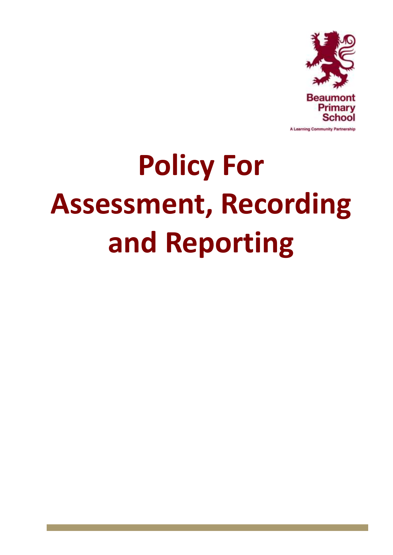

# **Policy For Assessment, Recording and Reporting**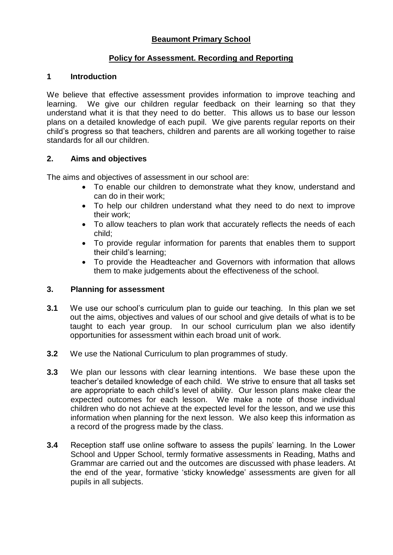# **Beaumont Primary School**

## **Policy for Assessment. Recording and Reporting**

#### **1 Introduction**

We believe that effective assessment provides information to improve teaching and learning. We give our children regular feedback on their learning so that they understand what it is that they need to do better. This allows us to base our lesson plans on a detailed knowledge of each pupil. We give parents regular reports on their child's progress so that teachers, children and parents are all working together to raise standards for all our children.

## **2. Aims and objectives**

The aims and objectives of assessment in our school are:

- To enable our children to demonstrate what they know, understand and can do in their work;
- To help our children understand what they need to do next to improve their work;
- To allow teachers to plan work that accurately reflects the needs of each child;
- To provide regular information for parents that enables them to support their child's learning;
- To provide the Headteacher and Governors with information that allows them to make judgements about the effectiveness of the school.

#### **3. Planning for assessment**

- **3.1** We use our school's curriculum plan to guide our teaching. In this plan we set out the aims, objectives and values of our school and give details of what is to be taught to each year group. In our school curriculum plan we also identify opportunities for assessment within each broad unit of work.
- **3.2** We use the National Curriculum to plan programmes of study.
- **3.3** We plan our lessons with clear learning intentions. We base these upon the teacher's detailed knowledge of each child. We strive to ensure that all tasks set are appropriate to each child's level of ability. Our lesson plans make clear the expected outcomes for each lesson. We make a note of those individual children who do not achieve at the expected level for the lesson, and we use this information when planning for the next lesson. We also keep this information as a record of the progress made by the class.
- **3.4** Reception staff use online software to assess the pupils' learning. In the Lower School and Upper School, termly formative assessments in Reading, Maths and Grammar are carried out and the outcomes are discussed with phase leaders. At the end of the year, formative 'sticky knowledge' assessments are given for all pupils in all subjects.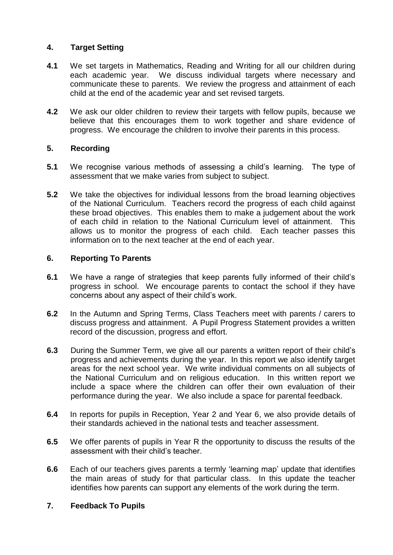## **4. Target Setting**

- **4.1** We set targets in Mathematics, Reading and Writing for all our children during each academic year. We discuss individual targets where necessary and communicate these to parents. We review the progress and attainment of each child at the end of the academic year and set revised targets.
- **4.2** We ask our older children to review their targets with fellow pupils, because we believe that this encourages them to work together and share evidence of progress. We encourage the children to involve their parents in this process.

# **5. Recording**

- **5.1** We recognise various methods of assessing a child's learning. The type of assessment that we make varies from subject to subject.
- **5.2** We take the objectives for individual lessons from the broad learning objectives of the National Curriculum. Teachers record the progress of each child against these broad objectives. This enables them to make a judgement about the work of each child in relation to the National Curriculum level of attainment. This allows us to monitor the progress of each child. Each teacher passes this information on to the next teacher at the end of each year.

## **6. Reporting To Parents**

- **6.1** We have a range of strategies that keep parents fully informed of their child's progress in school. We encourage parents to contact the school if they have concerns about any aspect of their child's work.
- **6.2** In the Autumn and Spring Terms, Class Teachers meet with parents / carers to discuss progress and attainment. A Pupil Progress Statement provides a written record of the discussion, progress and effort.
- **6.3** During the Summer Term, we give all our parents a written report of their child's progress and achievements during the year. In this report we also identify target areas for the next school year. We write individual comments on all subjects of the National Curriculum and on religious education. In this written report we include a space where the children can offer their own evaluation of their performance during the year. We also include a space for parental feedback.
- **6.4** In reports for pupils in Reception, Year 2 and Year 6, we also provide details of their standards achieved in the national tests and teacher assessment.
- **6.5** We offer parents of pupils in Year R the opportunity to discuss the results of the assessment with their child's teacher.
- **6.6** Each of our teachers gives parents a termly 'learning map' update that identifies the main areas of study for that particular class. In this update the teacher identifies how parents can support any elements of the work during the term.

#### **7. Feedback To Pupils**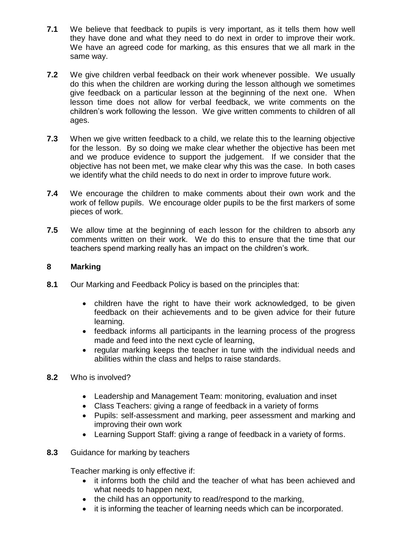- **7.1** We believe that feedback to pupils is very important, as it tells them how well they have done and what they need to do next in order to improve their work. We have an agreed code for marking, as this ensures that we all mark in the same way.
- **7.2** We give children verbal feedback on their work whenever possible. We usually do this when the children are working during the lesson although we sometimes give feedback on a particular lesson at the beginning of the next one. When lesson time does not allow for verbal feedback, we write comments on the children's work following the lesson. We give written comments to children of all ages.
- **7.3** When we give written feedback to a child, we relate this to the learning objective for the lesson. By so doing we make clear whether the objective has been met and we produce evidence to support the judgement. If we consider that the objective has not been met, we make clear why this was the case. In both cases we identify what the child needs to do next in order to improve future work.
- **7.4** We encourage the children to make comments about their own work and the work of fellow pupils. We encourage older pupils to be the first markers of some pieces of work.
- **7.5** We allow time at the beginning of each lesson for the children to absorb any comments written on their work. We do this to ensure that the time that our teachers spend marking really has an impact on the children's work.

## **8 Marking**

- **8.1** Our Marking and Feedback Policy is based on the principles that:
	- children have the right to have their work acknowledged, to be given feedback on their achievements and to be given advice for their future learning.
	- feedback informs all participants in the learning process of the progress made and feed into the next cycle of learning,
	- regular marking keeps the teacher in tune with the individual needs and abilities within the class and helps to raise standards.
- **8.2** Who is involved?
	- Leadership and Management Team: monitoring, evaluation and inset
	- Class Teachers: giving a range of feedback in a variety of forms
	- Pupils: self-assessment and marking, peer assessment and marking and improving their own work
	- Learning Support Staff: giving a range of feedback in a variety of forms.
- **8.3** Guidance for marking by teachers

Teacher marking is only effective if:

- it informs both the child and the teacher of what has been achieved and what needs to happen next,
- the child has an opportunity to read/respond to the marking,
- it is informing the teacher of learning needs which can be incorporated.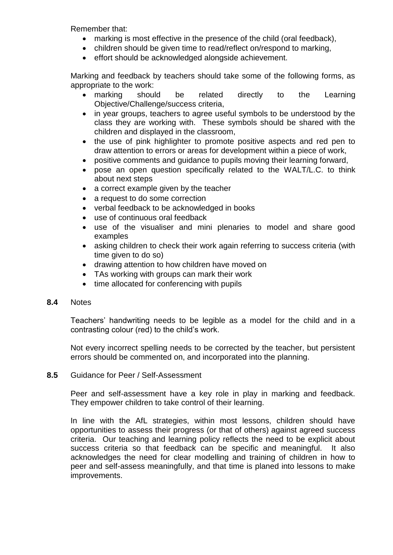Remember that:

- marking is most effective in the presence of the child (oral feedback),
- children should be given time to read/reflect on/respond to marking,
- effort should be acknowledged alongside achievement.

Marking and feedback by teachers should take some of the following forms, as appropriate to the work:

- marking should be related directly to the Learning Objective/Challenge/success criteria,
- in year groups, teachers to agree useful symbols to be understood by the class they are working with. These symbols should be shared with the children and displayed in the classroom,
- the use of pink highlighter to promote positive aspects and red pen to draw attention to errors or areas for development within a piece of work,
- positive comments and guidance to pupils moving their learning forward,
- pose an open question specifically related to the WALT/L.C. to think about next steps
- a correct example given by the teacher
- a request to do some correction
- verbal feedback to be acknowledged in books
- use of continuous oral feedback
- use of the visualiser and mini plenaries to model and share good examples
- asking children to check their work again referring to success criteria (with time given to do so)
- drawing attention to how children have moved on
- TAs working with groups can mark their work
- time allocated for conferencing with pupils

# **8.4** Notes

Teachers' handwriting needs to be legible as a model for the child and in a contrasting colour (red) to the child's work.

Not every incorrect spelling needs to be corrected by the teacher, but persistent errors should be commented on, and incorporated into the planning.

# **8.5** Guidance for Peer / Self-Assessment

Peer and self-assessment have a key role in play in marking and feedback. They empower children to take control of their learning.

In line with the AfL strategies, within most lessons, children should have opportunities to assess their progress (or that of others) against agreed success criteria. Our teaching and learning policy reflects the need to be explicit about success criteria so that feedback can be specific and meaningful. It also acknowledges the need for clear modelling and training of children in how to peer and self-assess meaningfully, and that time is planed into lessons to make improvements.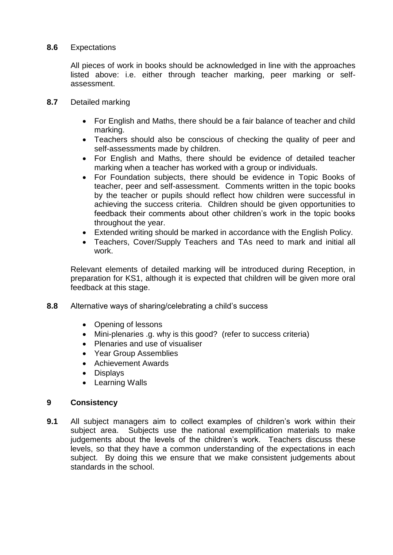### **8.6** Expectations

All pieces of work in books should be acknowledged in line with the approaches listed above: i.e. either through teacher marking, peer marking or selfassessment.

- **8.7** Detailed marking
	- For English and Maths, there should be a fair balance of teacher and child marking.
	- Teachers should also be conscious of checking the quality of peer and self-assessments made by children.
	- For English and Maths, there should be evidence of detailed teacher marking when a teacher has worked with a group or individuals.
	- For Foundation subjects, there should be evidence in Topic Books of teacher, peer and self-assessment. Comments written in the topic books by the teacher or pupils should reflect how children were successful in achieving the success criteria. Children should be given opportunities to feedback their comments about other children's work in the topic books throughout the year.
	- Extended writing should be marked in accordance with the English Policy.
	- Teachers, Cover/Supply Teachers and TAs need to mark and initial all work.

Relevant elements of detailed marking will be introduced during Reception, in preparation for KS1, although it is expected that children will be given more oral feedback at this stage.

- **8.8** Alternative ways of sharing/celebrating a child's success
	- Opening of lessons
	- Mini-plenaries .g. why is this good? (refer to success criteria)
	- Plenaries and use of visualiser
	- Year Group Assemblies
	- Achievement Awards
	- Displays
	- Learning Walls

#### **9 Consistency**

**9.1** All subject managers aim to collect examples of children's work within their subject area. Subjects use the national exemplification materials to make judgements about the levels of the children's work. Teachers discuss these levels, so that they have a common understanding of the expectations in each subject. By doing this we ensure that we make consistent judgements about standards in the school.